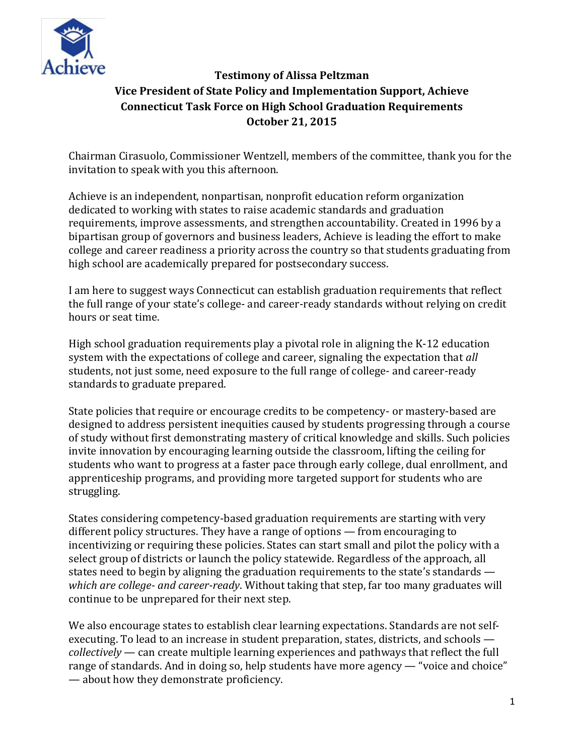

# **Testimony of Alissa Peltzman Vice President of State Policy and Implementation Support, Achieve Connecticut Task Force on High School Graduation Requirements October 21, 2015**

Chairman Cirasuolo, Commissioner Wentzell, members of the committee, thank you for the invitation to speak with you this afternoon.

Achieve is an independent, nonpartisan, nonprofit education reform organization dedicated to working with states to raise academic standards and graduation requirements, improve assessments, and strengthen accountability. Created in 1996 by a bipartisan group of governors and business leaders, Achieve is leading the effort to make college and career readiness a priority across the country so that students graduating from high school are academically prepared for postsecondary success.

I am here to suggest ways Connecticut can establish graduation requirements that reflect the full range of your state's college- and career-ready standards without relying on credit hours or seat time.

High school graduation requirements play a pivotal role in aligning the K-12 education system with the expectations of college and career, signaling the expectation that *all* students, not just some, need exposure to the full range of college- and career-ready standards to graduate prepared.

State policies that require or encourage credits to be competency- or mastery-based are designed to address persistent inequities caused by students progressing through a course of study without first demonstrating mastery of critical knowledge and skills. Such policies invite innovation by encouraging learning outside the classroom, lifting the ceiling for students who want to progress at a faster pace through early college, dual enrollment, and apprenticeship programs, and providing more targeted support for students who are struggling.

States considering competency-based graduation requirements are starting with very different policy structures. They have a range of options — from encouraging to incentivizing or requiring these policies. States can start small and pilot the policy with a select group of districts or launch the policy statewide. Regardless of the approach, all states need to begin by aligning the graduation requirements to the state's standards *which are college- and career-ready*. Without taking that step, far too many graduates will continue to be unprepared for their next step.

We also encourage states to establish clear learning expectations. Standards are not selfexecuting. To lead to an increase in student preparation, states, districts, and schools *collectively* — can create multiple learning experiences and pathways that reflect the full range of standards. And in doing so, help students have more agency — "voice and choice" — about how they demonstrate proficiency.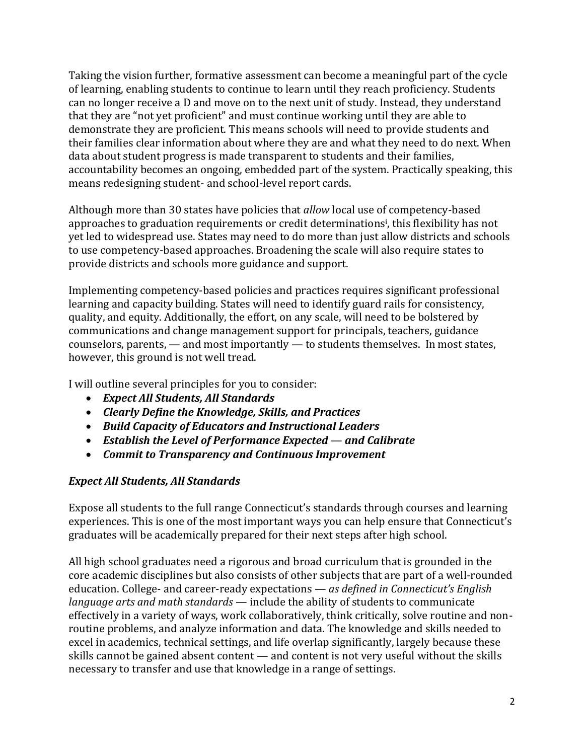Taking the vision further, formative assessment can become a meaningful part of the cycle of learning, enabling students to continue to learn until they reach proficiency. Students can no longer receive a D and move on to the next unit of study. Instead, they understand that they are "not yet proficient" and must continue working until they are able to demonstrate they are proficient. This means schools will need to provide students and their families clear information about where they are and what they need to do next. When data about student progress is made transparent to students and their families, accountability becomes an ongoing, embedded part of the system. Practically speaking, this means redesigning student- and school-level report cards.

Although more than 30 states have policies that *allow* local use of competency-based approaches to graduation requirements or credit determinations<sup>i</sup>, this flexibility has not yet led to widespread use. States may need to do more than just allow districts and schools to use competency-based approaches. Broadening the scale will also require states to provide districts and schools more guidance and support.

Implementing competency-based policies and practices requires significant professional learning and capacity building. States will need to identify guard rails for consistency, quality, and equity. Additionally, the effort, on any scale, will need to be bolstered by communications and change management support for principals, teachers, guidance counselors, parents, — and most importantly — to students themselves. In most states, however, this ground is not well tread.

I will outline several principles for you to consider:

- *Expect All Students, All Standards*
- *Clearly Define the Knowledge, Skills, and Practices*
- *Build Capacity of Educators and Instructional Leaders*
- *Establish the Level of Performance Expected and Calibrate*
- *Commit to Transparency and Continuous Improvement*

### *Expect All Students, All Standards*

Expose all students to the full range Connecticut's standards through courses and learning experiences. This is one of the most important ways you can help ensure that Connecticut's graduates will be academically prepared for their next steps after high school.

All high school graduates need a rigorous and broad curriculum that is grounded in the core academic disciplines but also consists of other subjects that are part of a well-rounded education. College- and career-ready expectations — *as defined in Connecticut's English language arts and math standards* — include the ability of students to communicate effectively in a variety of ways, work collaboratively, think critically, solve routine and nonroutine problems, and analyze information and data. The knowledge and skills needed to excel in academics, technical settings, and life overlap significantly, largely because these skills cannot be gained absent content — and content is not very useful without the skills necessary to transfer and use that knowledge in a range of settings.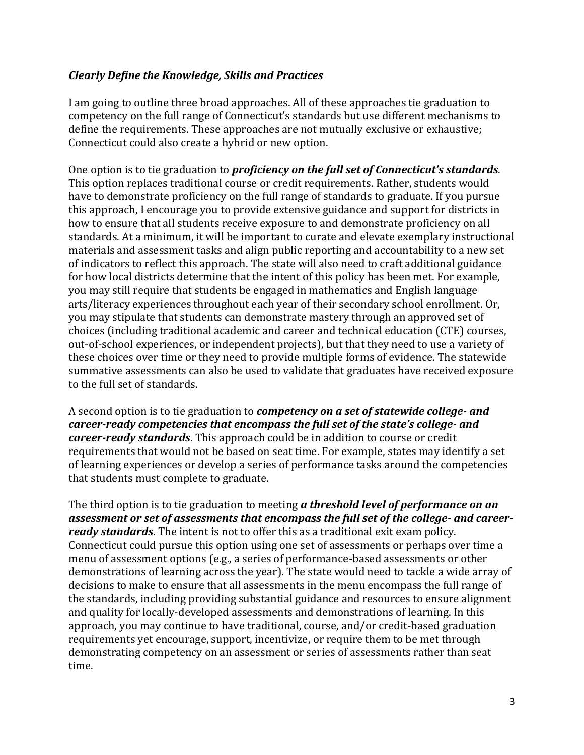#### *Clearly Define the Knowledge, Skills and Practices*

I am going to outline three broad approaches. All of these approaches tie graduation to competency on the full range of Connecticut's standards but use different mechanisms to define the requirements. These approaches are not mutually exclusive or exhaustive; Connecticut could also create a hybrid or new option.

One option is to tie graduation to *proficiency on the full set of Connecticut's standards*. This option replaces traditional course or credit requirements. Rather, students would have to demonstrate proficiency on the full range of standards to graduate. If you pursue this approach, I encourage you to provide extensive guidance and support for districts in how to ensure that all students receive exposure to and demonstrate proficiency on all standards. At a minimum, it will be important to curate and elevate exemplary instructional materials and assessment tasks and align public reporting and accountability to a new set of indicators to reflect this approach. The state will also need to craft additional guidance for how local districts determine that the intent of this policy has been met. For example, you may still require that students be engaged in mathematics and English language arts/literacy experiences throughout each year of their secondary school enrollment. Or, you may stipulate that students can demonstrate mastery through an approved set of choices (including traditional academic and career and technical education (CTE) courses, out-of-school experiences, or independent projects), but that they need to use a variety of these choices over time or they need to provide multiple forms of evidence. The statewide summative assessments can also be used to validate that graduates have received exposure to the full set of standards.

A second option is to tie graduation to *competency on a set of statewide college- and career-ready competencies that encompass the full set of the state's college- and career-ready standards*. This approach could be in addition to course or credit requirements that would not be based on seat time. For example, states may identify a set of learning experiences or develop a series of performance tasks around the competencies that students must complete to graduate.

The third option is to tie graduation to meeting *a threshold level of performance on an assessment or set of assessments that encompass the full set of the college- and careerready standards*. The intent is not to offer this as a traditional exit exam policy. Connecticut could pursue this option using one set of assessments or perhaps over time a menu of assessment options (e.g., a series of performance-based assessments or other demonstrations of learning across the year). The state would need to tackle a wide array of decisions to make to ensure that all assessments in the menu encompass the full range of the standards, including providing substantial guidance and resources to ensure alignment and quality for locally-developed assessments and demonstrations of learning. In this approach, you may continue to have traditional, course, and/or credit-based graduation requirements yet encourage, support, incentivize, or require them to be met through demonstrating competency on an assessment or series of assessments rather than seat time.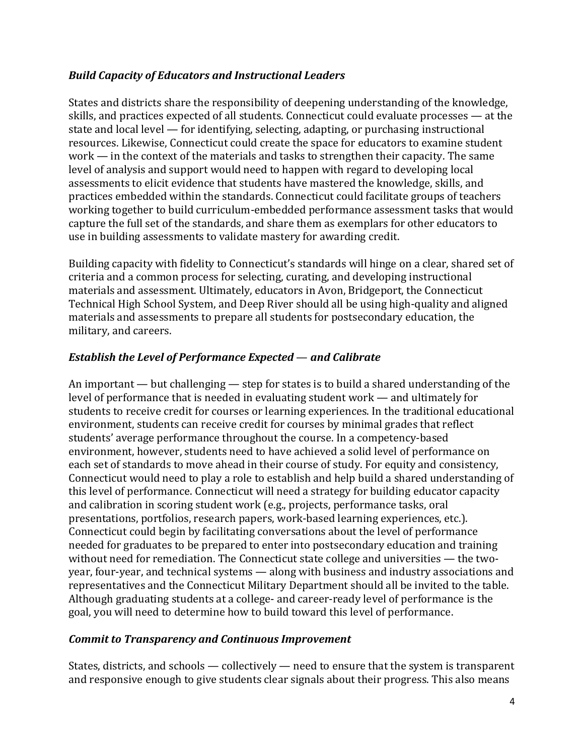### *Build Capacity of Educators and Instructional Leaders*

States and districts share the responsibility of deepening understanding of the knowledge, skills, and practices expected of all students. Connecticut could evaluate processes — at the state and local level — for identifying, selecting, adapting, or purchasing instructional resources. Likewise, Connecticut could create the space for educators to examine student work — in the context of the materials and tasks to strengthen their capacity. The same level of analysis and support would need to happen with regard to developing local assessments to elicit evidence that students have mastered the knowledge, skills, and practices embedded within the standards. Connecticut could facilitate groups of teachers working together to build curriculum-embedded performance assessment tasks that would capture the full set of the standards, and share them as exemplars for other educators to use in building assessments to validate mastery for awarding credit.

Building capacity with fidelity to Connecticut's standards will hinge on a clear, shared set of criteria and a common process for selecting, curating, and developing instructional materials and assessment. Ultimately, educators in Avon, Bridgeport, the Connecticut Technical High School System, and Deep River should all be using high-quality and aligned materials and assessments to prepare all students for postsecondary education, the military, and careers.

## *Establish the Level of Performance Expected* — *and Calibrate*

An important — but challenging — step for states is to build a shared understanding of the level of performance that is needed in evaluating student work — and ultimately for students to receive credit for courses or learning experiences. In the traditional educational environment, students can receive credit for courses by minimal grades that reflect students' average performance throughout the course. In a competency-based environment, however, students need to have achieved a solid level of performance on each set of standards to move ahead in their course of study. For equity and consistency, Connecticut would need to play a role to establish and help build a shared understanding of this level of performance. Connecticut will need a strategy for building educator capacity and calibration in scoring student work (e.g., projects, performance tasks, oral presentations, portfolios, research papers, work-based learning experiences, etc.). Connecticut could begin by facilitating conversations about the level of performance needed for graduates to be prepared to enter into postsecondary education and training without need for remediation. The Connecticut state college and universities — the twoyear, four-year, and technical systems — along with business and industry associations and representatives and the Connecticut Military Department should all be invited to the table. Although graduating students at a college- and career-ready level of performance is the goal, you will need to determine how to build toward this level of performance.

### *Commit to Transparency and Continuous Improvement*

States, districts, and schools — collectively — need to ensure that the system is transparent and responsive enough to give students clear signals about their progress. This also means